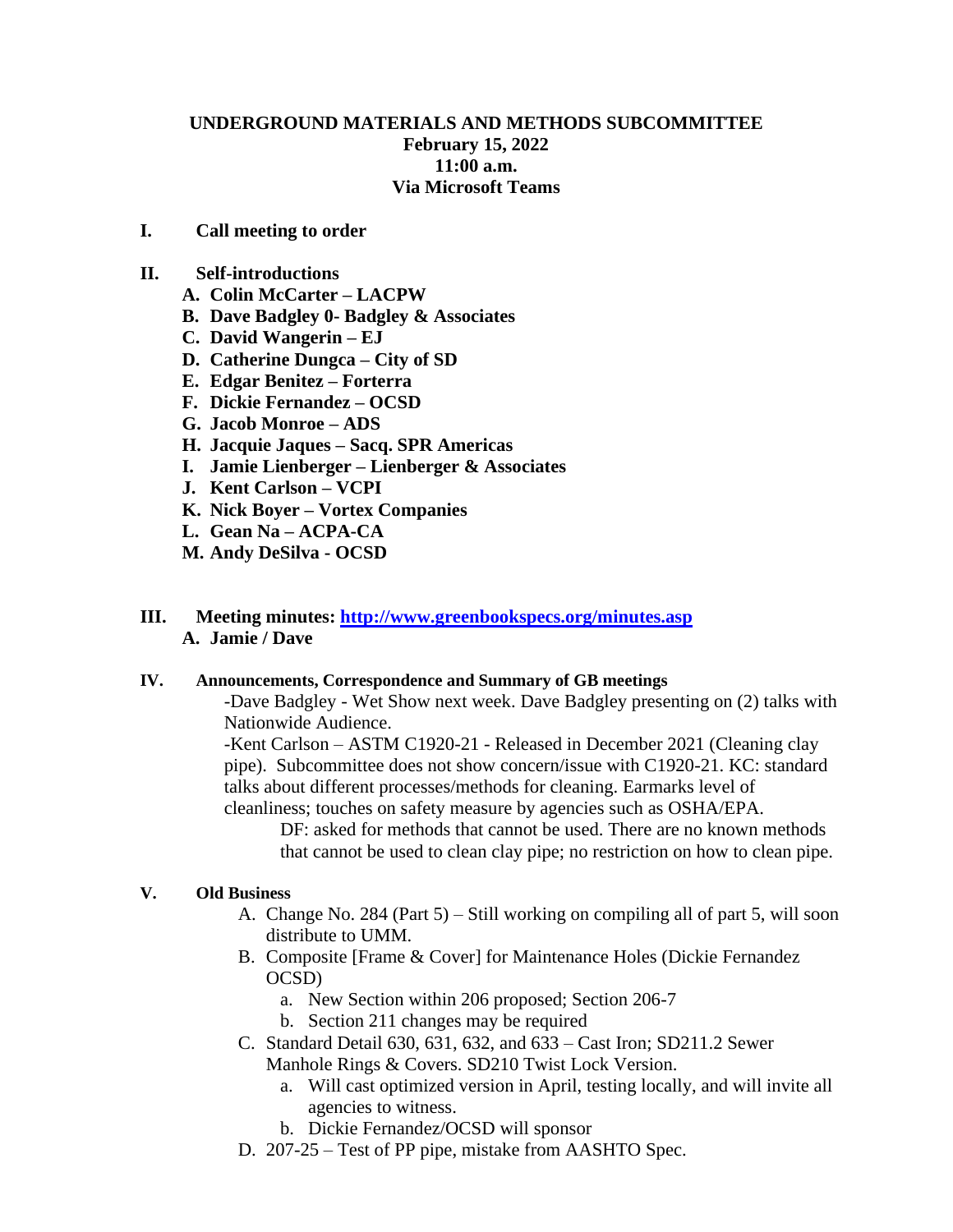# **UNDERGROUND MATERIALS AND METHODS SUBCOMMITTEE February 15, 2022 11:00 a.m. Via Microsoft Teams**

# **I. Call meeting to order**

#### **II. Self-introductions**

- **A. Colin McCarter – LACPW**
- **B. Dave Badgley 0- Badgley & Associates**
- **C. David Wangerin – EJ**
- **D. Catherine Dungca – City of SD**
- **E. Edgar Benitez – Forterra**
- **F. Dickie Fernandez – OCSD**
- **G. Jacob Monroe – ADS**
- **H. Jacquie Jaques – Sacq. SPR Americas**
- **I. Jamie Lienberger – Lienberger & Associates**
- **J. Kent Carlson – VCPI**
- **K. Nick Boyer – Vortex Companies**
- **L. Gean Na – ACPA-CA**
- **M. Andy DeSilva - OCSD**

# **III. Meeting minutes: <http://www.greenbookspecs.org/minutes.asp> A. Jamie / Dave**

#### **IV. Announcements, Correspondence and Summary of GB meetings**

-Dave Badgley - Wet Show next week. Dave Badgley presenting on (2) talks with Nationwide Audience.

-Kent Carlson – ASTM C1920-21 - Released in December 2021 (Cleaning clay pipe). Subcommittee does not show concern/issue with C1920-21. KC: standard talks about different processes/methods for cleaning. Earmarks level of cleanliness; touches on safety measure by agencies such as OSHA/EPA.

DF: asked for methods that cannot be used. There are no known methods that cannot be used to clean clay pipe; no restriction on how to clean pipe.

### **V. Old Business**

- A. Change No. 284 (Part 5) Still working on compiling all of part 5, will soon distribute to UMM.
- B. Composite [Frame & Cover] for Maintenance Holes (Dickie Fernandez OCSD)
	- a. New Section within 206 proposed; Section 206-7
	- b. Section 211 changes may be required
- C. Standard Detail 630, 631, 632, and 633 Cast Iron; SD211.2 Sewer Manhole Rings & Covers. SD210 Twist Lock Version.
	- a. Will cast optimized version in April, testing locally, and will invite all agencies to witness.
	- b. Dickie Fernandez/OCSD will sponsor
- D. 207-25 Test of PP pipe, mistake from AASHTO Spec.